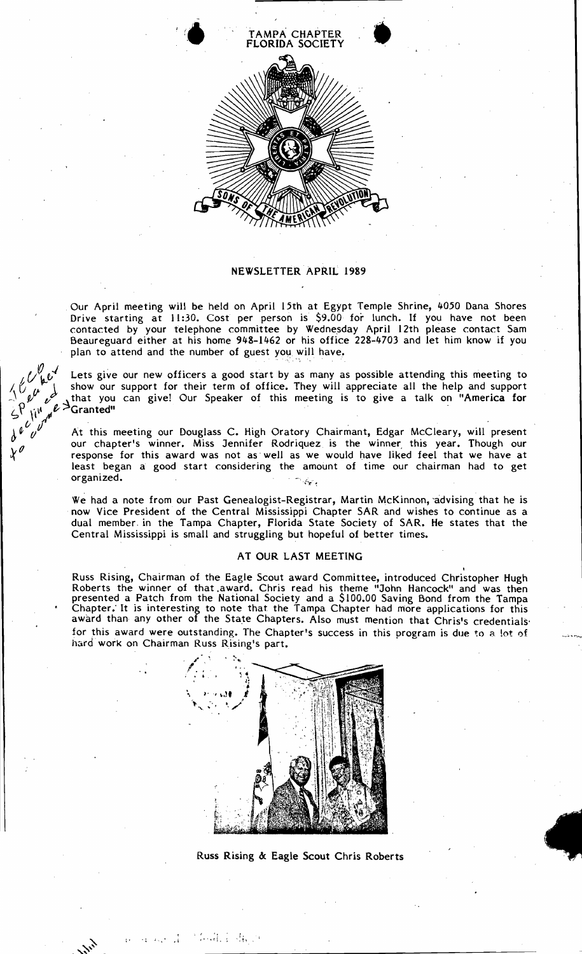

## NEWSLETTER APRIL 1989

. Our April meeting will be held on April 15th at Egypt Temple Shrine, 4050 Dana Shores Drive starting at 11:30. Cost per person is \$9.00 for lunch. If you have not been contacted by your telephone committee by Wednesday April 12th please contact Sam Beaureguard either at his home 948-1462 or his office 228-4703 and let him know if you plan to attend and the number of guest you will have.

Lets give our new officers a good start by as many as possible attending this meeting to I. I. Show our support for their term of office. They will appreciate all the help and support<br>  $\begin{pmatrix} 0 & \mu & \mu & \mu \\ \mu^{\mu} & \mu^{\mu} & \mu^{\mu} & \mu^{\mu} \end{pmatrix}$  and you can give! Our Speaker of this meeting is to give a talk on "Ame  $\sim$   $\frac{1}{2}$  that you can give! Our Speaker of this meeting is to give a talk on "America for  $\frac{1}{2}$  Granted"

At this meeting our Douglass C. High Oratory Chairmant, Edgar McCleary, will present our chapter's winner. Miss Jennifer Rodriquez is the winner this year. Though our response for this award was not as well as we would have liked feel that we have at response for this award was not as well as we would have liked feel that we have at least began a good start considering the amount of time our chairman had to get<br>organized.

> We had a note from our Past Genealogist-Registrar, Martin McKinnon, advising that he is now Vice President of the Central Mississippi Chapter SAR and wishes to continue as a dual member, in the Tampa Chapter, Florida State Society of SAR. He states that the Central Mississippi is small and struggling but hopeful of better times.

## AT OUR LAST MEETING

Russ Rising, Chairman of the Eagle Scout award Committee, introduced Christopher Hugh Roberts the winner of that award. Chris read his theme "John Hancock" and was then presented a Patch from the National Society and a \$100.00 Saving Bond from the Tampa Chapter: It is interesting to note that the Tampa Chapter had more applications for this award than any other of the State Chapters. Also must mention that Chris's credentials' for this award were outstanding. The Chapter's success in this program is due to a lot of hard work on Chairman Russ Rising's part.



Russ Rising & Eagle Scout Chris Roberts

t facilità del control

,.

..